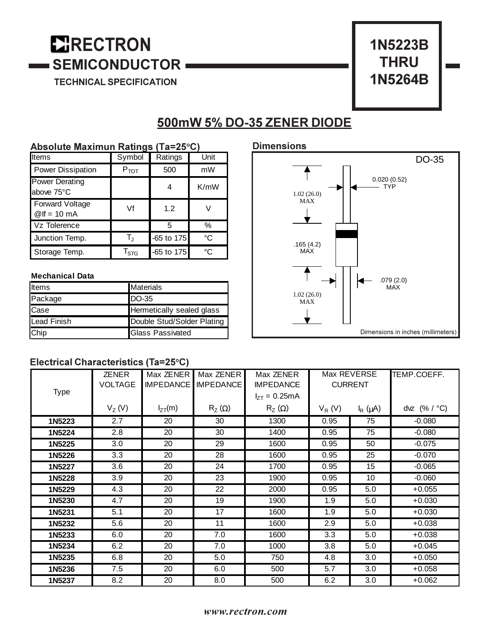# **E**RECTRON **SEMICONDUCTOR**

TECHNICAL SPECIFICATION



# 500mW 5% DO-35 ZENER DIODE

### **Absolute Maximun Ratings (Ta=25°C)**

| Items                               | Symbol           | Ratings    | Unit |
|-------------------------------------|------------------|------------|------|
| Power Dissipation                   | $P_{\text{TOT}}$ | 500        | mW   |
| <b>Power Derating</b><br>above 75°C |                  |            | K/mW |
| Forward Voltage<br>$@$ If = 10 mA   | Vf               | 1.2        |      |
| Vz Tolerence                        |                  | 5          | $\%$ |
| Junction Temp.                      | $T_{\rm J}$      | -65 to 175 | °C   |
| Storage Temp.                       | $T_{STG}$        | -65 to 175 | °C   |

#### **Mechanical Data**

| Items       | <b>Materials</b>           |
|-------------|----------------------------|
| Package     | DO-35                      |
| <b>Case</b> | Hermetically sealed glass  |
| Lead Finish | Double Stud/Solder Plating |
| Chip        | <b>Glass Passivated</b>    |

# **Dimensions** Dimensions in inches (millimeters) 0.020 (0.52) TYP 1.02 (26.0) MAX 1.02 (26.0) MAX .165 (4.2) MAX .079 (2.0) MAX DO-35

## **Electrical Characteristics (Ta=25°C)**

| <b>Type</b> | <b>ZENER</b><br><b>VOLTAGE</b> | Max ZENER<br><b>IMPEDANCE</b> | Max ZENER<br><b>IMPEDANCE</b> | Max ZENER<br><b>IMPEDANCE</b> | Max REVERSE<br><b>CURRENT</b> |              | TEMP.COEFF.    |
|-------------|--------------------------------|-------------------------------|-------------------------------|-------------------------------|-------------------------------|--------------|----------------|
|             |                                |                               |                               | $I_{7T} = 0.25 \text{mA}$     |                               |              |                |
|             | $V_Z(V)$                       | $I_{ZT}(m)$                   | $R_Z(\Omega)$                 | $R_Z(\Omega)$                 | $V_R(V)$                      | $I_R(\mu A)$ | dvz $(% / °C)$ |
| 1N5223      | 2.7                            | 20                            | 30                            | 1300                          | 0.95                          | 75           | $-0.080$       |
| 1N5224      | 2.8                            | 20                            | 30                            | 1400                          | 0.95                          | 75           | $-0.080$       |
| 1N5225      | 3.0                            | 20                            | 29                            | 1600                          | 0.95                          | 50           | $-0.075$       |
| 1N5226      | 3.3                            | 20                            | 28                            | 1600                          | 0.95                          | 25           | $-0.070$       |
| 1N5227      | 3.6                            | 20                            | 24                            | 1700                          | 0.95                          | 15           | $-0.065$       |
| 1N5228      | 3.9                            | 20                            | 23                            | 1900                          | 0.95                          | 10           | $-0.060$       |
| 1N5229      | 4.3                            | 20                            | 22                            | 2000                          | 0.95                          | 5.0          | $+0.055$       |
| 1N5230      | 4.7                            | 20                            | 19                            | 1900                          | 1.9                           | 5.0          | $+0.030$       |
| 1N5231      | 5.1                            | 20                            | 17                            | 1600                          | 1.9                           | 5.0          | $+0.030$       |
| 1N5232      | 5.6                            | 20                            | 11                            | 1600                          | 2.9                           | 5.0          | $+0.038$       |
| 1N5233      | 6.0                            | 20                            | 7.0                           | 1600                          | 3.3                           | 5.0          | $+0.038$       |
| 1N5234      | 6.2                            | 20                            | 7.0                           | 1000                          | 3.8                           | 5.0          | $+0.045$       |
| 1N5235      | 6.8                            | 20                            | 5.0                           | 750                           | 4.8                           | 3.0          | $+0.050$       |
| 1N5236      | 7.5                            | 20                            | 6.0                           | 500                           | 5.7                           | 3.0          | $+0.058$       |
| 1N5237      | 8.2                            | 20                            | 8.0                           | 500                           | 6.2                           | 3.0          | $+0.062$       |

# $www. rectron.com$